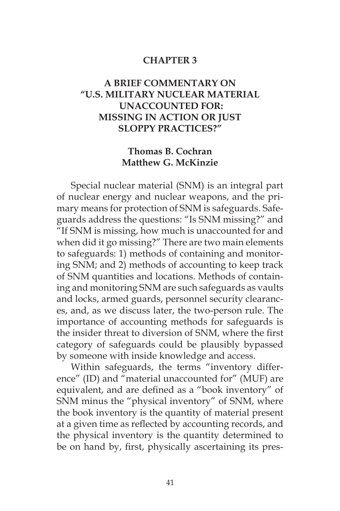## **CHAPTER 3**

## **A BRIEF COMMENTARY ON "U.S. MILITARY NUCLEAR MATERIAL UNACCOUNTED FOR: MISSING IN ACTION OR JUST SLOPPY PRACTICES?"**

## **Thomas B. Cochran Matthew G. McKinzie**

Special nuclear material (SNM) is an integral part of nuclear energy and nuclear weapons, and the primary means for protection of SNM is safeguards. Safeguards address the questions: "Is SNM missing?" and "If SNM is missing, how much is unaccounted for and when did it go missing?" There are two main elements to safeguards: 1) methods of containing and monitoring SNM; and 2) methods of accounting to keep track of SNM quantities and locations. Methods of containing and monitoring SNM are such safeguards as vaults and locks, armed guards, personnel security clearances, and, as we discuss later, the two-person rule. The importance of accounting methods for safeguards is the insider threat to diversion of SNM, where the first category of safeguards could be plausibly bypassed by someone with inside knowledge and access.

Within safeguards, the terms "inventory difference" (ID) and "material unaccounted for" (MUF) are equivalent, and are defined as a "book inventory" of SNM minus the "physical inventory" of SNM, where the book inventory is the quantity of material present at a given time as reflected by accounting records, and the physical inventory is the quantity determined to be on hand by, first, physically ascertaining its pres-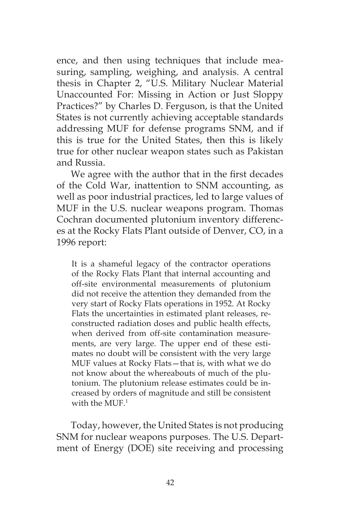ence, and then using techniques that include measuring, sampling, weighing, and analysis. A central thesis in Chapter 2, "U.S. Military Nuclear Material Unaccounted For: Missing in Action or Just Sloppy Practices?" by Charles D. Ferguson, is that the United States is not currently achieving acceptable standards addressing MUF for defense programs SNM, and if this is true for the United States, then this is likely true for other nuclear weapon states such as Pakistan and Russia.

We agree with the author that in the first decades of the Cold War, inattention to SNM accounting, as well as poor industrial practices, led to large values of MUF in the U.S. nuclear weapons program. Thomas Cochran documented plutonium inventory differences at the Rocky Flats Plant outside of Denver, CO, in a 1996 report:

It is a shameful legacy of the contractor operations of the Rocky Flats Plant that internal accounting and off-site environmental measurements of plutonium did not receive the attention they demanded from the very start of Rocky Flats operations in 1952. At Rocky Flats the uncertainties in estimated plant releases, reconstructed radiation doses and public health effects, when derived from off-site contamination measurements, are very large. The upper end of these estimates no doubt will be consistent with the very large MUF values at Rocky Flats—that is, with what we do not know about the whereabouts of much of the plutonium. The plutonium release estimates could be increased by orders of magnitude and still be consistent with the MUF.<sup>1</sup>

Today, however, the United States is not producing SNM for nuclear weapons purposes. The U.S. Department of Energy (DOE) site receiving and processing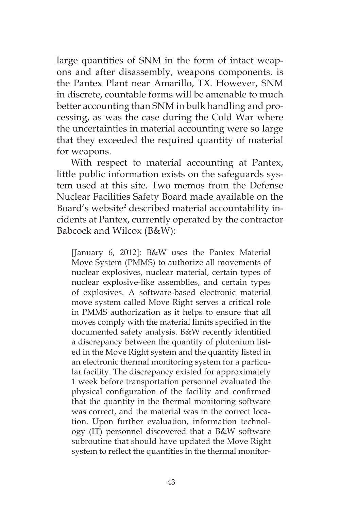large quantities of SNM in the form of intact weapons and after disassembly, weapons components, is the Pantex Plant near Amarillo, TX. However, SNM in discrete, countable forms will be amenable to much better accounting than SNM in bulk handling and processing, as was the case during the Cold War where the uncertainties in material accounting were so large that they exceeded the required quantity of material for weapons.

With respect to material accounting at Pantex, little public information exists on the safeguards system used at this site. Two memos from the Defense Nuclear Facilities Safety Board made available on the Board's website<sup>2</sup> described material accountability incidents at Pantex, currently operated by the contractor Babcock and Wilcox (B&W):

[January 6, 2012]: B&W uses the Pantex Material Move System (PMMS) to authorize all movements of nuclear explosives, nuclear material, certain types of nuclear explosive-like assemblies, and certain types of explosives. A software-based electronic material move system called Move Right serves a critical role in PMMS authorization as it helps to ensure that all moves comply with the material limits specified in the documented safety analysis. B&W recently identified a discrepancy between the quantity of plutonium listed in the Move Right system and the quantity listed in an electronic thermal monitoring system for a particular facility. The discrepancy existed for approximately 1 week before transportation personnel evaluated the physical configuration of the facility and confirmed that the quantity in the thermal monitoring software was correct, and the material was in the correct location. Upon further evaluation, information technology (IT) personnel discovered that a B&W software subroutine that should have updated the Move Right system to reflect the quantities in the thermal monitor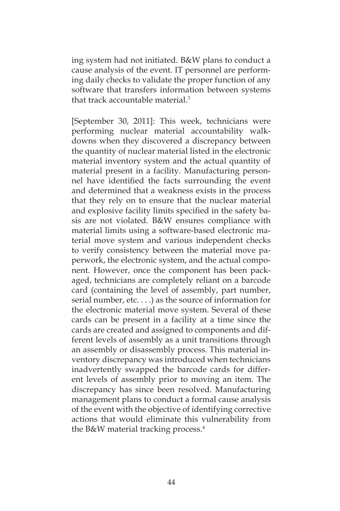ing system had not initiated. B&W plans to conduct a cause analysis of the event. IT personnel are performing daily checks to validate the proper function of any software that transfers information between systems that track accountable material.3

[September 30, 2011]: This week, technicians were performing nuclear material accountability walkdowns when they discovered a discrepancy between the quantity of nuclear material listed in the electronic material inventory system and the actual quantity of material present in a facility. Manufacturing personnel have identified the facts surrounding the event and determined that a weakness exists in the process that they rely on to ensure that the nuclear material and explosive facility limits specified in the safety basis are not violated. B&W ensures compliance with material limits using a software-based electronic material move system and various independent checks to verify consistency between the material move paperwork, the electronic system, and the actual component. However, once the component has been packaged, technicians are completely reliant on a barcode card (containing the level of assembly, part number, serial number, etc. . . .) as the source of information for the electronic material move system. Several of these cards can be present in a facility at a time since the cards are created and assigned to components and different levels of assembly as a unit transitions through an assembly or disassembly process. This material inventory discrepancy was introduced when technicians inadvertently swapped the barcode cards for different levels of assembly prior to moving an item. The discrepancy has since been resolved. Manufacturing management plans to conduct a formal cause analysis of the event with the objective of identifying corrective actions that would eliminate this vulnerability from the B&W material tracking process.4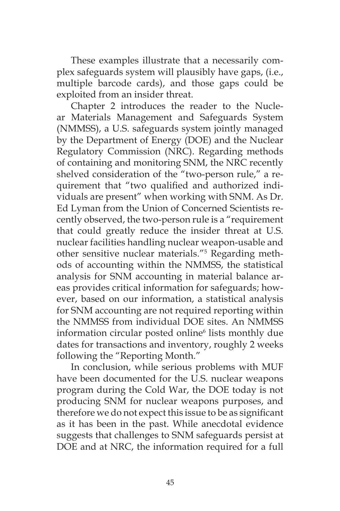These examples illustrate that a necessarily complex safeguards system will plausibly have gaps, (i.e., multiple barcode cards), and those gaps could be exploited from an insider threat.

Chapter 2 introduces the reader to the Nuclear Materials Management and Safeguards System (NMMSS), a U.S. safeguards system jointly managed by the Department of Energy (DOE) and the Nuclear Regulatory Commission (NRC). Regarding methods of containing and monitoring SNM, the NRC recently shelved consideration of the "two-person rule," a requirement that "two qualified and authorized individuals are present" when working with SNM. As Dr. Ed Lyman from the Union of Concerned Scientists recently observed, the two-person rule is a "requirement that could greatly reduce the insider threat at U.S. nuclear facilities handling nuclear weapon-usable and other sensitive nuclear materials."5 Regarding methods of accounting within the NMMSS, the statistical analysis for SNM accounting in material balance areas provides critical information for safeguards; however, based on our information, a statistical analysis for SNM accounting are not required reporting within the NMMSS from individual DOE sites. An NMMSS information circular posted online<sup>6</sup> lists monthly due dates for transactions and inventory, roughly 2 weeks following the "Reporting Month."

In conclusion, while serious problems with MUF have been documented for the U.S. nuclear weapons program during the Cold War, the DOE today is not producing SNM for nuclear weapons purposes, and therefore we do not expect this issue to be as significant as it has been in the past. While anecdotal evidence suggests that challenges to SNM safeguards persist at DOE and at NRC, the information required for a full